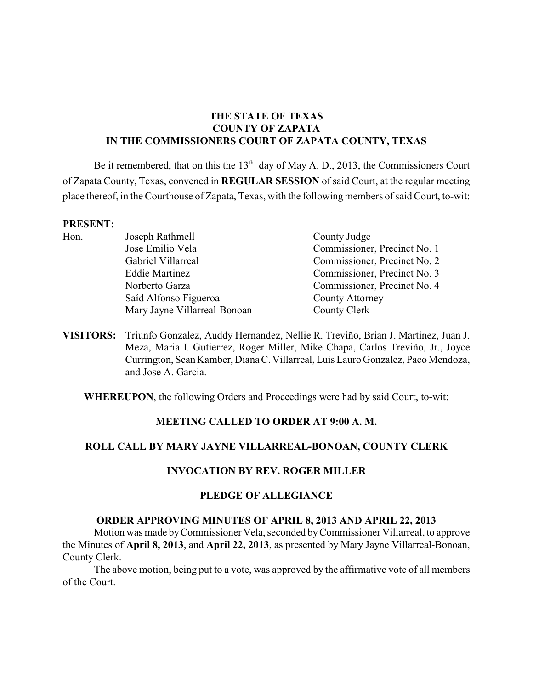# **THE STATE OF TEXAS COUNTY OF ZAPATA IN THE COMMISSIONERS COURT OF ZAPATA COUNTY, TEXAS**

Be it remembered, that on this the  $13<sup>th</sup>$  day of May A. D., 2013, the Commissioners Court of Zapata County, Texas, convened in **REGULAR SESSION** of said Court, at the regular meeting place thereof, in the Courthouse of Zapata, Texas, with the following members of said Court, to-wit:

#### **PRESENT:**

- Hon. Joseph Rathmell County Judge Jose Emilio Vela Commissioner, Precinct No. 1 Gabriel Villarreal Commissioner, Precinct No. 2 Eddie Martinez Commissioner, Precinct No. 3 Norberto Garza Commissioner, Precinct No. 4 Saíd Alfonso Figueroa County Attorney Mary Jayne Villarreal-Bonoan County Clerk
- 
- **VISITORS:** Triunfo Gonzalez, Auddy Hernandez, Nellie R. Treviño, Brian J. Martinez, Juan J. Meza, Maria I. Gutierrez, Roger Miller, Mike Chapa, Carlos Treviño, Jr., Joyce Currington, Sean Kamber, Diana C. Villarreal, Luis Lauro Gonzalez, Paco Mendoza, and Jose A. Garcia.

**WHEREUPON**, the following Orders and Proceedings were had by said Court, to-wit:

# **MEETING CALLED TO ORDER AT 9:00 A. M.**

# **ROLL CALL BY MARY JAYNE VILLARREAL-BONOAN, COUNTY CLERK**

# **INVOCATION BY REV. ROGER MILLER**

### **PLEDGE OF ALLEGIANCE**

### **ORDER APPROVING MINUTES OF APRIL 8, 2013 AND APRIL 22, 2013**

Motion was made byCommissioner Vela, seconded by Commissioner Villarreal, to approve the Minutes of **April 8, 2013**, and **April 22, 2013**, as presented by Mary Jayne Villarreal-Bonoan, County Clerk.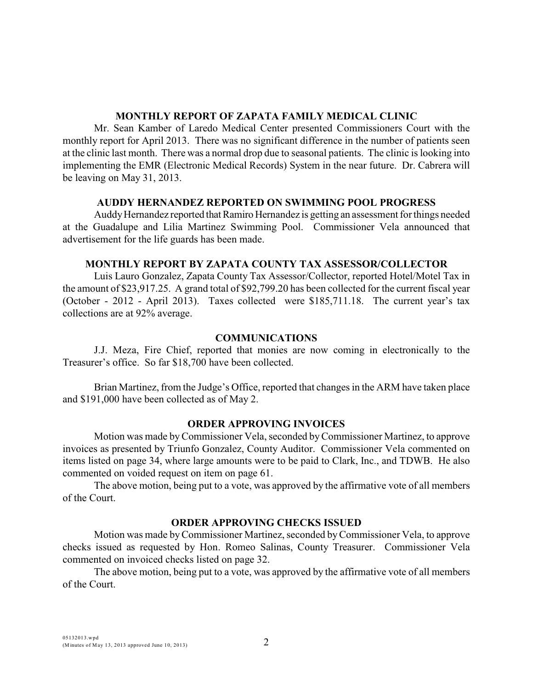### **MONTHLY REPORT OF ZAPATA FAMILY MEDICAL CLINIC**

Mr. Sean Kamber of Laredo Medical Center presented Commissioners Court with the monthly report for April 2013. There was no significant difference in the number of patients seen at the clinic last month. There was a normal drop due to seasonal patients. The clinic is looking into implementing the EMR (Electronic Medical Records) System in the near future. Dr. Cabrera will be leaving on May 31, 2013.

# **AUDDY HERNANDEZ REPORTED ON SWIMMING POOL PROGRESS**

Auddy Hernandez reported that Ramiro Hernandez is getting an assessment for things needed at the Guadalupe and Lilia Martinez Swimming Pool. Commissioner Vela announced that advertisement for the life guards has been made.

## **MONTHLY REPORT BY ZAPATA COUNTY TAX ASSESSOR/COLLECTOR**

Luis Lauro Gonzalez, Zapata County Tax Assessor/Collector, reported Hotel/Motel Tax in the amount of \$23,917.25. A grand total of \$92,799.20 has been collected for the current fiscal year (October - 2012 - April 2013). Taxes collected were \$185,711.18. The current year's tax collections are at 92% average.

## **COMMUNICATIONS**

J.J. Meza, Fire Chief, reported that monies are now coming in electronically to the Treasurer's office. So far \$18,700 have been collected.

Brian Martinez, from the Judge's Office, reported that changes in the ARM have taken place and \$191,000 have been collected as of May 2.

# **ORDER APPROVING INVOICES**

Motion was made byCommissioner Vela, seconded by Commissioner Martinez, to approve invoices as presented by Triunfo Gonzalez, County Auditor. Commissioner Vela commented on items listed on page 34, where large amounts were to be paid to Clark, Inc., and TDWB. He also commented on voided request on item on page 61.

The above motion, being put to a vote, was approved by the affirmative vote of all members of the Court.

# **ORDER APPROVING CHECKS ISSUED**

Motion was made byCommissioner Martinez, seconded byCommissioner Vela, to approve checks issued as requested by Hon. Romeo Salinas, County Treasurer. Commissioner Vela commented on invoiced checks listed on page 32.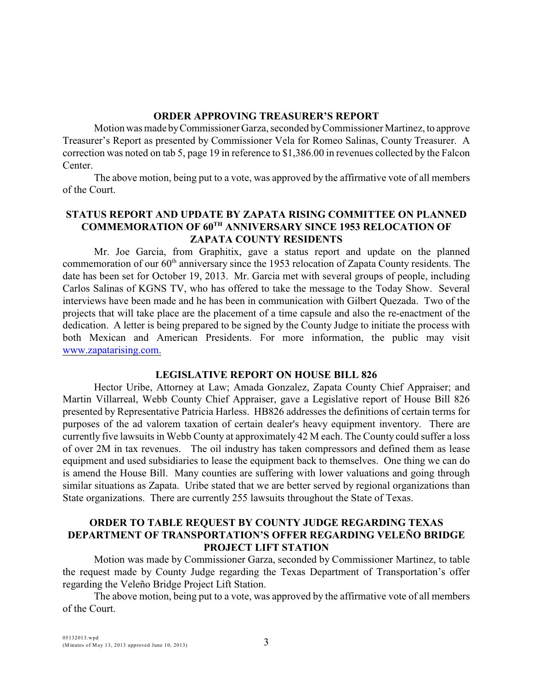#### **ORDER APPROVING TREASURER'S REPORT**

Motion was made by Commissioner Garza, seconded by Commissioner Martinez, to approve Treasurer's Report as presented by Commissioner Vela for Romeo Salinas, County Treasurer. A correction was noted on tab 5, page 19 in reference to \$1,386.00 in revenues collected by the Falcon Center.

The above motion, being put to a vote, was approved by the affirmative vote of all members of the Court.

# **STATUS REPORT AND UPDATE BY ZAPATA RISING COMMITTEE ON PLANNED COMMEMORATION OF 60TH ANNIVERSARY SINCE 1953 RELOCATION OF ZAPATA COUNTY RESIDENTS**

Mr. Joe Garcia, from Graphitix, gave a status report and update on the planned commemoration of our  $60<sup>th</sup>$  anniversary since the 1953 relocation of Zapata County residents. The date has been set for October 19, 2013. Mr. Garcia met with several groups of people, including Carlos Salinas of KGNS TV, who has offered to take the message to the Today Show. Several interviews have been made and he has been in communication with Gilbert Quezada. Two of the projects that will take place are the placement of a time capsule and also the re-enactment of the dedication. A letter is being prepared to be signed by the County Judge to initiate the process with both Mexican and American Presidents. For more information, the public may visit [www.zapatarising.com.](http://www.zapatarising.com.)

### **LEGISLATIVE REPORT ON HOUSE BILL 826**

Hector Uribe, Attorney at Law; Amada Gonzalez, Zapata County Chief Appraiser; and Martin Villarreal, Webb County Chief Appraiser, gave a Legislative report of House Bill 826 presented by Representative Patricia Harless. HB826 addresses the definitions of certain terms for purposes of the ad valorem taxation of certain dealer's heavy equipment inventory. There are currently five lawsuits in Webb County at approximately 42 M each. The County could suffer a loss of over 2M in tax revenues. The oil industry has taken compressors and defined them as lease equipment and used subsidiaries to lease the equipment back to themselves. One thing we can do is amend the House Bill. Many counties are suffering with lower valuations and going through similar situations as Zapata. Uribe stated that we are better served by regional organizations than State organizations. There are currently 255 lawsuits throughout the State of Texas.

## **ORDER TO TABLE REQUEST BY COUNTY JUDGE REGARDING TEXAS DEPARTMENT OF TRANSPORTATION'S OFFER REGARDING VELEÑO BRIDGE PROJECT LIFT STATION**

Motion was made by Commissioner Garza, seconded by Commissioner Martinez, to table the request made by County Judge regarding the Texas Department of Transportation's offer regarding the Veleño Bridge Project Lift Station.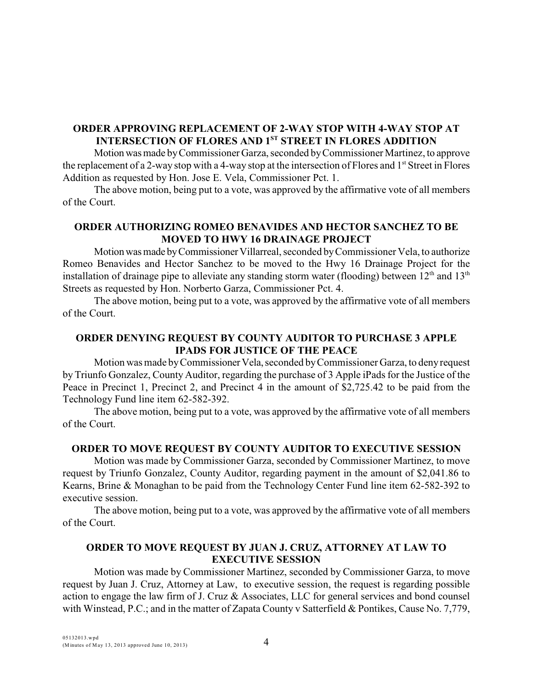# **ORDER APPROVING REPLACEMENT OF 2-WAY STOP WITH 4-WAY STOP AT INTERSECTION OF FLORES AND 1<sup>ST</sup> STREET IN FLORES ADDITION**

Motion was made by Commissioner Garza, seconded by Commissioner Martinez, to approve the replacement of a 2-way stop with a 4-way stop at the intersection of Flores and 1<sup>st</sup> Street in Flores Addition as requested by Hon. Jose E. Vela, Commissioner Pct. 1.

The above motion, being put to a vote, was approved by the affirmative vote of all members of the Court.

# **ORDER AUTHORIZING ROMEO BENAVIDES AND HECTOR SANCHEZ TO BE MOVED TO HWY 16 DRAINAGE PROJECT**

Motion was made by Commissioner Villarreal, seconded by Commissioner Vela, to authorize Romeo Benavides and Hector Sanchez to be moved to the Hwy 16 Drainage Project for the installation of drainage pipe to alleviate any standing storm water (flooding) between  $12<sup>th</sup>$  and  $13<sup>th</sup>$ Streets as requested by Hon. Norberto Garza, Commissioner Pct. 4.

The above motion, being put to a vote, was approved by the affirmative vote of all members of the Court.

# **ORDER DENYING REQUEST BY COUNTY AUDITOR TO PURCHASE 3 APPLE IPADS FOR JUSTICE OF THE PEACE**

Motion was made by Commissioner Vela, seconded by Commissioner Garza, to deny request by Triunfo Gonzalez, County Auditor, regarding the purchase of 3 Apple iPads for the Justice of the Peace in Precinct 1, Precinct 2, and Precinct 4 in the amount of \$2,725.42 to be paid from the Technology Fund line item 62-582-392.

The above motion, being put to a vote, was approved by the affirmative vote of all members of the Court.

### **ORDER TO MOVE REQUEST BY COUNTY AUDITOR TO EXECUTIVE SESSION**

Motion was made by Commissioner Garza, seconded by Commissioner Martinez, to move request by Triunfo Gonzalez, County Auditor, regarding payment in the amount of \$2,041.86 to Kearns, Brine & Monaghan to be paid from the Technology Center Fund line item 62-582-392 to executive session.

The above motion, being put to a vote, was approved by the affirmative vote of all members of the Court.

## **ORDER TO MOVE REQUEST BY JUAN J. CRUZ, ATTORNEY AT LAW TO EXECUTIVE SESSION**

Motion was made by Commissioner Martinez, seconded by Commissioner Garza, to move request by Juan J. Cruz, Attorney at Law, to executive session, the request is regarding possible action to engage the law firm of J. Cruz & Associates, LLC for general services and bond counsel with Winstead, P.C.; and in the matter of Zapata County v Satterfield & Pontikes, Cause No. 7,779,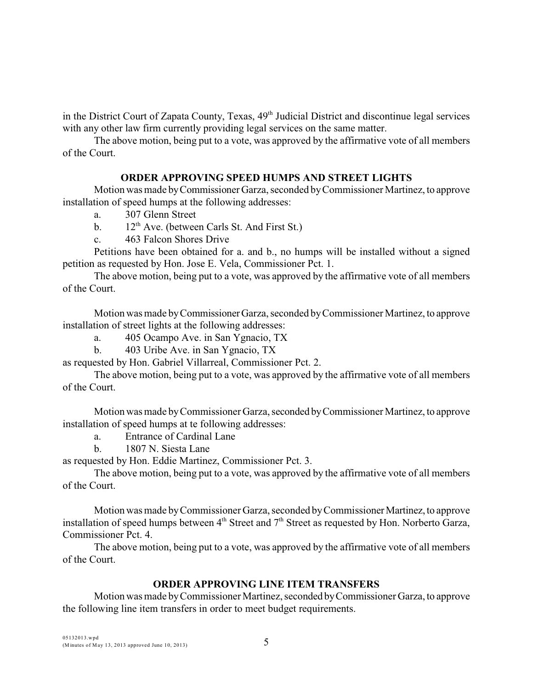in the District Court of Zapata County, Texas,  $49<sup>th</sup>$  Judicial District and discontinue legal services with any other law firm currently providing legal services on the same matter.

The above motion, being put to a vote, was approved by the affirmative vote of all members of the Court.

## **ORDER APPROVING SPEED HUMPS AND STREET LIGHTS**

Motion was made by Commissioner Garza, seconded by Commissioner Martinez, to approve installation of speed humps at the following addresses:

- a. 307 Glenn Street
- b.  $12^{th}$  Ave. (between Carls St. And First St.)
- c. 463 Falcon Shores Drive

Petitions have been obtained for a. and b., no humps will be installed without a signed petition as requested by Hon. Jose E. Vela, Commissioner Pct. 1.

The above motion, being put to a vote, was approved by the affirmative vote of all members of the Court.

Motion was made by Commissioner Garza, seconded by Commissioner Martinez, to approve installation of street lights at the following addresses:

a. 405 Ocampo Ave. in San Ygnacio, TX

b. 403 Uribe Ave. in San Ygnacio, TX

as requested by Hon. Gabriel Villarreal, Commissioner Pct. 2.

The above motion, being put to a vote, was approved by the affirmative vote of all members of the Court.

Motion was made by Commissioner Garza, seconded by Commissioner Martinez, to approve installation of speed humps at te following addresses:

a. Entrance of Cardinal Lane

b. 1807 N. Siesta Lane

as requested by Hon. Eddie Martinez, Commissioner Pct. 3.

The above motion, being put to a vote, was approved by the affirmative vote of all members of the Court.

Motion was made by Commissioner Garza, seconded by Commissioner Martinez, to approve installation of speed humps between  $4<sup>th</sup>$  Street and  $7<sup>th</sup>$  Street as requested by Hon. Norberto Garza, Commissioner Pct. 4.

The above motion, being put to a vote, was approved by the affirmative vote of all members of the Court.

# **ORDER APPROVING LINE ITEM TRANSFERS**

Motion was made by Commissioner Martinez, seconded by Commissioner Garza, to approve the following line item transfers in order to meet budget requirements.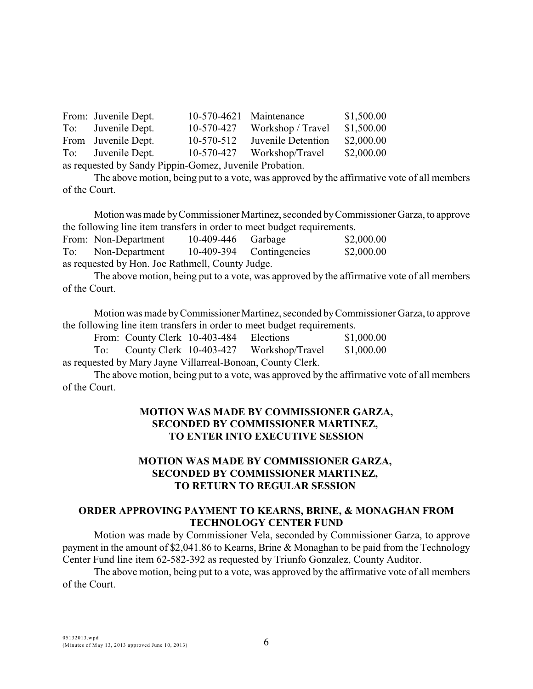|                                                         | From: Juvenile Dept. | 10-570-4621 Maintenance |                                | \$1,500.00 |  |  |
|---------------------------------------------------------|----------------------|-------------------------|--------------------------------|------------|--|--|
|                                                         | To: Juvenile Dept.   |                         | $10-570-427$ Workshop / Travel | \$1,500.00 |  |  |
|                                                         | From Juvenile Dept.  | 10-570-512              | Juvenile Detention             | \$2,000.00 |  |  |
|                                                         | To: Juvenile Dept.   |                         | 10-570-427 Workshop/Travel     | \$2,000.00 |  |  |
| as requested by Sandy Pippin-Gomez, Juvenile Probation. |                      |                         |                                |            |  |  |

The above motion, being put to a vote, was approved by the affirmative vote of all members of the Court.

Motion was made by Commissioner Martinez, seconded by Commissioner Garza, to approve the following line item transfers in order to meet budget requirements.

From: Non-Department 10-409-446 Garbage \$2,000.00 To: Non-Department 10-409-394 Contingencies \$2,000.00 as requested by Hon. Joe Rathmell, County Judge.

The above motion, being put to a vote, was approved by the affirmative vote of all members of the Court.

Motion was made by Commissioner Martinez, seconded by Commissioner Garza, to approve the following line item transfers in order to meet budget requirements.

|                                                             | From: County Clerk 10-403-484 Elections |  |                                             | \$1,000.00 |  |  |  |
|-------------------------------------------------------------|-----------------------------------------|--|---------------------------------------------|------------|--|--|--|
|                                                             |                                         |  | To: County Clerk 10-403-427 Workshop/Travel | \$1,000.00 |  |  |  |
| as requested by Mary Jayne Villarreal-Bonoan, County Clerk. |                                         |  |                                             |            |  |  |  |

The above motion, being put to a vote, was approved by the affirmative vote of all members of the Court.

## **MOTION WAS MADE BY COMMISSIONER GARZA, SECONDED BY COMMISSIONER MARTINEZ, TO ENTER INTO EXECUTIVE SESSION**

# **MOTION WAS MADE BY COMMISSIONER GARZA, SECONDED BY COMMISSIONER MARTINEZ, TO RETURN TO REGULAR SESSION**

## **ORDER APPROVING PAYMENT TO KEARNS, BRINE, & MONAGHAN FROM TECHNOLOGY CENTER FUND**

Motion was made by Commissioner Vela, seconded by Commissioner Garza, to approve payment in the amount of \$2,041.86 to Kearns, Brine & Monaghan to be paid from the Technology Center Fund line item 62-582-392 as requested by Triunfo Gonzalez, County Auditor.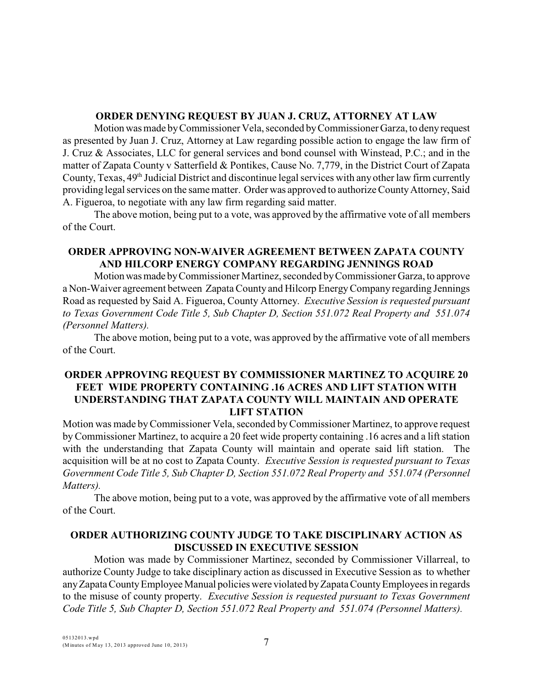### **ORDER DENYING REQUEST BY JUAN J. CRUZ, ATTORNEY AT LAW**

Motion was made by Commissioner Vela, seconded by Commissioner Garza, to deny request as presented by Juan J. Cruz, Attorney at Law regarding possible action to engage the law firm of J. Cruz & Associates, LLC for general services and bond counsel with Winstead, P.C.; and in the matter of Zapata County v Satterfield & Pontikes, Cause No. 7,779, in the District Court of Zapata County, Texas, 49<sup>th</sup> Judicial District and discontinue legal services with any other law firm currently providing legal services on the same matter. Order was approved to authorize County Attorney, Said A. Figueroa, to negotiate with any law firm regarding said matter.

The above motion, being put to a vote, was approved by the affirmative vote of all members of the Court.

# **ORDER APPROVING NON-WAIVER AGREEMENT BETWEEN ZAPATA COUNTY AND HILCORP ENERGY COMPANY REGARDING JENNINGS ROAD**

Motion was made by Commissioner Martinez, seconded by Commissioner Garza, to approve a Non-Waiver agreement between Zapata County and Hilcorp Energy Company regarding Jennings Road as requested by Said A. Figueroa, County Attorney. *Executive Session is requested pursuant to Texas Government Code Title 5, Sub Chapter D, Section 551.072 Real Property and 551.074 (Personnel Matters).*

The above motion, being put to a vote, was approved by the affirmative vote of all members of the Court.

# **ORDER APPROVING REQUEST BY COMMISSIONER MARTINEZ TO ACQUIRE 20 FEET WIDE PROPERTY CONTAINING .16 ACRES AND LIFT STATION WITH UNDERSTANDING THAT ZAPATA COUNTY WILL MAINTAIN AND OPERATE LIFT STATION**

Motion was made by Commissioner Vela, seconded by Commissioner Martinez, to approve request by Commissioner Martinez, to acquire a 20 feet wide property containing .16 acres and a lift station with the understanding that Zapata County will maintain and operate said lift station. The acquisition will be at no cost to Zapata County. *Executive Session is requested pursuant to Texas Government Code Title 5, Sub Chapter D, Section 551.072 Real Property and 551.074 (Personnel Matters).*

The above motion, being put to a vote, was approved by the affirmative vote of all members of the Court.

# **ORDER AUTHORIZING COUNTY JUDGE TO TAKE DISCIPLINARY ACTION AS DISCUSSED IN EXECUTIVE SESSION**

Motion was made by Commissioner Martinez, seconded by Commissioner Villarreal, to authorize County Judge to take disciplinary action as discussed in Executive Session as to whether any Zapata County Employee Manual policies were violated by Zapata County Employees in regards to the misuse of county property. *Executive Session is requested pursuant to Texas Government Code Title 5, Sub Chapter D, Section 551.072 Real Property and 551.074 (Personnel Matters).*